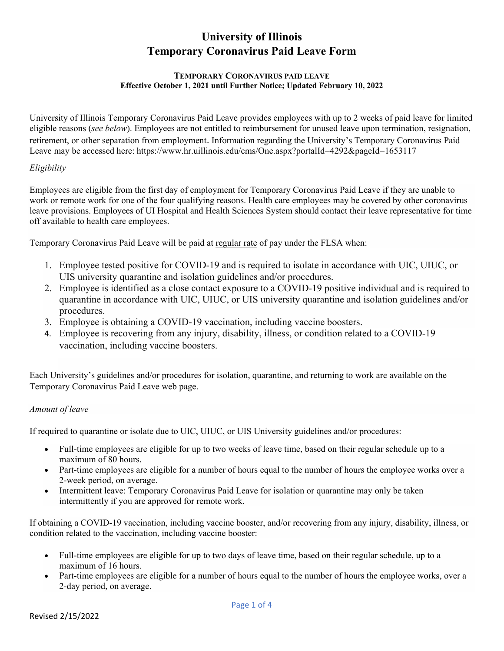# **University of Illinois Temporary Coronavirus Paid Leave Form**

#### **TEMPORARY CORONAVIRUS PAID LEAVE Effective October 1, 2021 until Further Notice; Updated February 10, 2022**

University of Illinois Temporary Coronavirus Paid Leave provides employees with up to 2 weeks of paid leave for limited eligible reasons (*see below*). Employees are not entitled to reimbursement for unused leave upon termination, resignation, retirement, or other separation from employment. Information regarding the University's Temporary Coronavirus Paid Leave may be accessed here: https://www.hr.uillinois.edu/cms/One.aspx?portalId=4292&pageId=1653117

## *Eligibility*

Employees are eligible from the first day of employment for Temporary Coronavirus Paid Leave if they are unable to work or remote work for one of the four qualifying reasons. Health care employees may be covered by other coronavirus leave provisions. Employees of UI Hospital and Health Sciences System should contact their leave representative for time off available to health care employees.

Temporary Coronavirus Paid Leave will be paid at regular rate of pay under the FLSA when:

- 1. Employee tested positive for COVID-19 and is required to isolate in accordance with UIC, UIUC, or UIS university quarantine and isolation guidelines and/or procedures.
- 2. Employee is identified as a close contact exposure to a COVID-19 positive individual and is required to quarantine in accordance with UIC, UIUC, or UIS university quarantine and isolation guidelines and/or procedures.
- 3. Employee is obtaining a COVID-19 vaccination, including vaccine boosters.
- 4. Employee is recovering from any injury, disability, illness, or condition related to a COVID-19 vaccination, including vaccine boosters.

Each University's guidelines and/or procedures for isolation, quarantine, and returning to work are available on the Temporary Coronavirus Paid Leave web page.

## *Amount of leave*

If required to quarantine or isolate due to UIC, UIUC, or UIS University guidelines and/or procedures:

- Full-time employees are eligible for up to two weeks of leave time, based on their regular schedule up to a maximum of 80 hours.
- Part-time employees are eligible for a number of hours equal to the number of hours the employee works over a 2-week period, on average.
- Intermittent leave: Temporary Coronavirus Paid Leave for isolation or quarantine may only be taken intermittently if you are approved for remote work.

If obtaining a COVID-19 vaccination, including vaccine booster, and/or recovering from any injury, disability, illness, or condition related to the vaccination, including vaccine booster:

- Full-time employees are eligible for up to two days of leave time, based on their regular schedule, up to a maximum of 16 hours.
- Part-time employees are eligible for a number of hours equal to the number of hours the employee works, over a 2-day period, on average.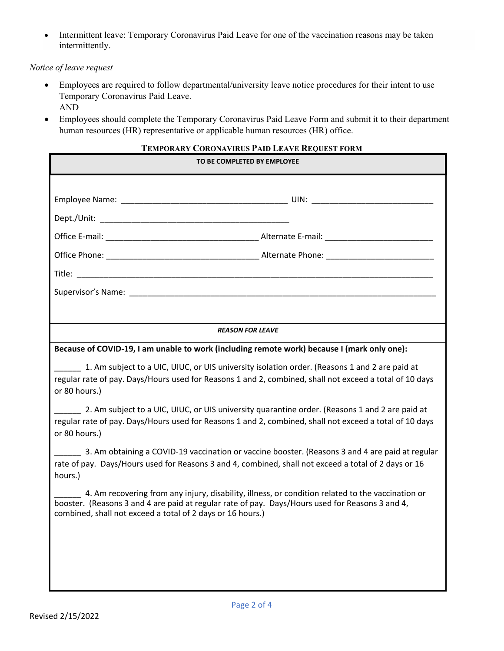Intermittent leave: Temporary Coronavirus Paid Leave for one of the vaccination reasons may be taken intermittently.

#### *Notice of leave request*

- Employees are required to follow departmental/university leave notice procedures for their intent to use Temporary Coronavirus Paid Leave. AND
- Employees should complete the Temporary Coronavirus Paid Leave Form and submit it to their department human resources (HR) representative or applicable human resources (HR) office.

## **TEMPORARY CORONAVIRUS PAID LEAVE REQUEST FORM**

| TO BE COMPLETED BY EMPLOYEE                                                                                                                                                                                                                                        |
|--------------------------------------------------------------------------------------------------------------------------------------------------------------------------------------------------------------------------------------------------------------------|
|                                                                                                                                                                                                                                                                    |
|                                                                                                                                                                                                                                                                    |
|                                                                                                                                                                                                                                                                    |
|                                                                                                                                                                                                                                                                    |
|                                                                                                                                                                                                                                                                    |
|                                                                                                                                                                                                                                                                    |
|                                                                                                                                                                                                                                                                    |
|                                                                                                                                                                                                                                                                    |
| <b>REASON FOR LEAVE</b>                                                                                                                                                                                                                                            |
| Because of COVID-19, I am unable to work (including remote work) because I (mark only one):                                                                                                                                                                        |
| 1. Am subject to a UIC, UIUC, or UIS university isolation order. (Reasons 1 and 2 are paid at<br>regular rate of pay. Days/Hours used for Reasons 1 and 2, combined, shall not exceed a total of 10 days<br>or 80 hours.)                                          |
| 2. Am subject to a UIC, UIUC, or UIS university quarantine order. (Reasons 1 and 2 are paid at<br>regular rate of pay. Days/Hours used for Reasons 1 and 2, combined, shall not exceed a total of 10 days<br>or 80 hours.)                                         |
| 3. Am obtaining a COVID-19 vaccination or vaccine booster. (Reasons 3 and 4 are paid at regular<br>rate of pay. Days/Hours used for Reasons 3 and 4, combined, shall not exceed a total of 2 days or 16<br>hours.)                                                 |
| 4. Am recovering from any injury, disability, illness, or condition related to the vaccination or<br>booster. (Reasons 3 and 4 are paid at regular rate of pay. Days/Hours used for Reasons 3 and 4,<br>combined, shall not exceed a total of 2 days or 16 hours.) |
|                                                                                                                                                                                                                                                                    |
|                                                                                                                                                                                                                                                                    |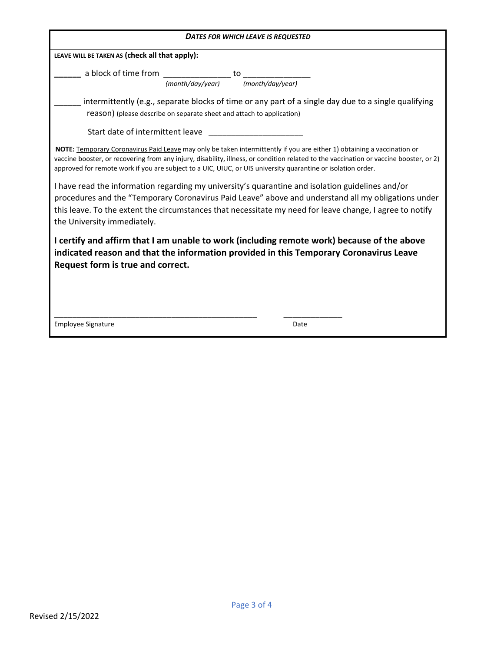| <b>DATES FOR WHICH LEAVE IS REQUESTED</b>                                                                                                                                                                                                                                                                                                                                         |
|-----------------------------------------------------------------------------------------------------------------------------------------------------------------------------------------------------------------------------------------------------------------------------------------------------------------------------------------------------------------------------------|
| LEAVE WILL BE TAKEN AS (check all that apply):                                                                                                                                                                                                                                                                                                                                    |
| a block of time from _________________ to<br>(month/day/year) (month/day/year)                                                                                                                                                                                                                                                                                                    |
| intermittently (e.g., separate blocks of time or any part of a single day due to a single qualifying<br>reason) (please describe on separate sheet and attach to application)                                                                                                                                                                                                     |
| Start date of intermittent leave                                                                                                                                                                                                                                                                                                                                                  |
| NOTE: Temporary Coronavirus Paid Leave may only be taken intermittently if you are either 1) obtaining a vaccination or<br>vaccine booster, or recovering from any injury, disability, illness, or condition related to the vaccination or vaccine booster, or 2)<br>approved for remote work if you are subject to a UIC, UIUC, or UIS university quarantine or isolation order. |
| I have read the information regarding my university's quarantine and isolation guidelines and/or<br>procedures and the "Temporary Coronavirus Paid Leave" above and understand all my obligations under<br>this leave. To the extent the circumstances that necessitate my need for leave change, I agree to notify<br>the University immediately.                                |
| I certify and affirm that I am unable to work (including remote work) because of the above<br>indicated reason and that the information provided in this Temporary Coronavirus Leave<br>Request form is true and correct.                                                                                                                                                         |
| <b>Employee Signature</b><br>Date                                                                                                                                                                                                                                                                                                                                                 |